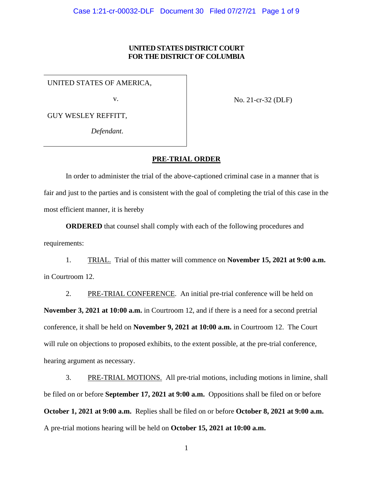# **UNITED STATES DISTRICT COURT FOR THE DISTRICT OF COLUMBIA**

UNITED STATES OF AMERICA,

v.

No. 21-cr-32 (DLF)

GUY WESLEY REFFITT,

*Defendant*.

#### **PRE-TRIAL ORDER**

In order to administer the trial of the above-captioned criminal case in a manner that is fair and just to the parties and is consistent with the goal of completing the trial of this case in the most efficient manner, it is hereby

**ORDERED** that counsel shall comply with each of the following procedures and requirements:

1. TRIAL. Trial of this matter will commence on **November 15, 2021 at 9:00 a.m.** in Courtroom 12.

2. PRE-TRIAL CONFERENCE. An initial pre-trial conference will be held on **November 3, 2021 at 10:00 a.m.** in Courtroom 12, and if there is a need for a second pretrial conference, it shall be held on **November 9, 2021 at 10:00 a.m.** in Courtroom 12. The Court will rule on objections to proposed exhibits, to the extent possible, at the pre-trial conference, hearing argument as necessary.

3. PRE-TRIAL MOTIONS. All pre-trial motions, including motions in limine, shall be filed on or before **September 17, 2021 at 9:00 a.m.** Oppositions shall be filed on or before **October 1, 2021 at 9:00 a.m.** Replies shall be filed on or before **October 8, 2021 at 9:00 a.m.** A pre-trial motions hearing will be held on **October 15, 2021 at 10:00 a.m.**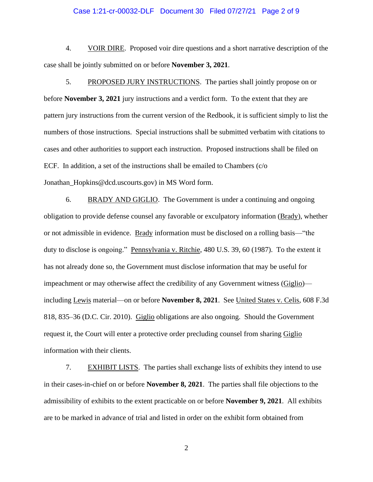# Case 1:21-cr-00032-DLF Document 30 Filed 07/27/21 Page 2 of 9

4. VOIR DIRE. Proposed voir dire questions and a short narrative description of the case shall be jointly submitted on or before **November 3, 2021**.

5. PROPOSED JURY INSTRUCTIONS. The parties shall jointly propose on or before **November 3, 2021** jury instructions and a verdict form. To the extent that they are pattern jury instructions from the current version of the Redbook, it is sufficient simply to list the numbers of those instructions. Special instructions shall be submitted verbatim with citations to cases and other authorities to support each instruction. Proposed instructions shall be filed on ECF. In addition, a set of the instructions shall be emailed to Chambers (c/o Jonathan\_Hopkins@dcd.uscourts.gov) in MS Word form.

6. BRADY AND GIGLIO. The Government is under a continuing and ongoing obligation to provide defense counsel any favorable or exculpatory information (Brady), whether or not admissible in evidence. Brady information must be disclosed on a rolling basis—"the duty to disclose is ongoing." Pennsylvania v. Ritchie, 480 U.S. 39, 60 (1987). To the extent it has not already done so, the Government must disclose information that may be useful for impeachment or may otherwise affect the credibility of any Government witness (Giglio) including Lewis material—on or before **November 8, 2021**. See United States v. Celis, 608 F.3d 818, 835–36 (D.C. Cir. 2010). Giglio obligations are also ongoing. Should the Government request it, the Court will enter a protective order precluding counsel from sharing Giglio information with their clients.

7. EXHIBIT LISTS. The parties shall exchange lists of exhibits they intend to use in their cases-in-chief on or before **November 8, 2021**. The parties shall file objections to the admissibility of exhibits to the extent practicable on or before **November 9, 2021**. All exhibits are to be marked in advance of trial and listed in order on the exhibit form obtained from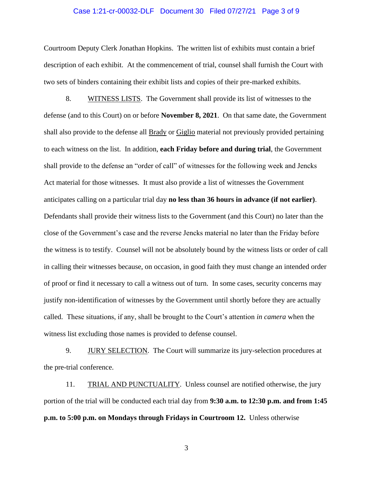#### Case 1:21-cr-00032-DLF Document 30 Filed 07/27/21 Page 3 of 9

Courtroom Deputy Clerk Jonathan Hopkins. The written list of exhibits must contain a brief description of each exhibit. At the commencement of trial, counsel shall furnish the Court with two sets of binders containing their exhibit lists and copies of their pre-marked exhibits.

8. WITNESS LISTS. The Government shall provide its list of witnesses to the defense (and to this Court) on or before **November 8, 2021**. On that same date, the Government shall also provide to the defense all Brady or Giglio material not previously provided pertaining to each witness on the list. In addition, **each Friday before and during trial**, the Government shall provide to the defense an "order of call" of witnesses for the following week and Jencks Act material for those witnesses. It must also provide a list of witnesses the Government anticipates calling on a particular trial day **no less than 36 hours in advance (if not earlier)**. Defendants shall provide their witness lists to the Government (and this Court) no later than the close of the Government's case and the reverse Jencks material no later than the Friday before the witness is to testify. Counsel will not be absolutely bound by the witness lists or order of call in calling their witnesses because, on occasion, in good faith they must change an intended order of proof or find it necessary to call a witness out of turn. In some cases, security concerns may justify non-identification of witnesses by the Government until shortly before they are actually called. These situations, if any, shall be brought to the Court's attention *in camera* when the witness list excluding those names is provided to defense counsel.

9. JURY SELECTION. The Court will summarize its jury-selection procedures at the pre-trial conference.

11. TRIAL AND PUNCTUALITY. Unless counsel are notified otherwise, the jury portion of the trial will be conducted each trial day from **9:30 a.m. to 12:30 p.m. and from 1:45 p.m. to 5:00 p.m. on Mondays through Fridays in Courtroom 12.** Unless otherwise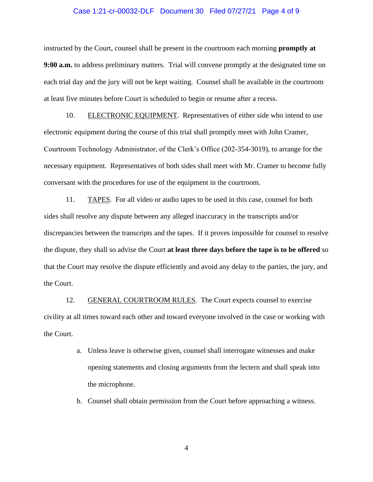## Case 1:21-cr-00032-DLF Document 30 Filed 07/27/21 Page 4 of 9

instructed by the Court, counsel shall be present in the courtroom each morning **promptly at 9:00 a.m.** to address preliminary matters. Trial will convene promptly at the designated time on each trial day and the jury will not be kept waiting. Counsel shall be available in the courtroom at least five minutes before Court is scheduled to begin or resume after a recess.

10. ELECTRONIC EQUIPMENT. Representatives of either side who intend to use electronic equipment during the course of this trial shall promptly meet with John Cramer, Courtroom Technology Administrator, of the Clerk's Office (202-354-3019), to arrange for the necessary equipment. Representatives of both sides shall meet with Mr. Cramer to become fully conversant with the procedures for use of the equipment in the courtroom.

11. TAPES. For all video or audio tapes to be used in this case, counsel for both sides shall resolve any dispute between any alleged inaccuracy in the transcripts and/or discrepancies between the transcripts and the tapes. If it proves impossible for counsel to resolve the dispute, they shall so advise the Court **at least three days before the tape is to be offered** so that the Court may resolve the dispute efficiently and avoid any delay to the parties, the jury, and the Court.

12. GENERAL COURTROOM RULES. The Court expects counsel to exercise civility at all times toward each other and toward everyone involved in the case or working with the Court.

- a. Unless leave is otherwise given, counsel shall interrogate witnesses and make opening statements and closing arguments from the lectern and shall speak into the microphone.
- b. Counsel shall obtain permission from the Court before approaching a witness.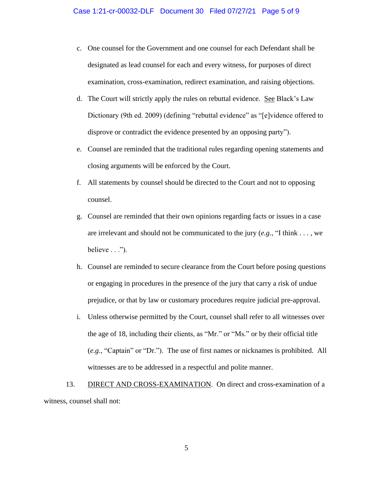- c. One counsel for the Government and one counsel for each Defendant shall be designated as lead counsel for each and every witness, for purposes of direct examination, cross-examination, redirect examination, and raising objections.
- d. The Court will strictly apply the rules on rebuttal evidence. See Black's Law Dictionary (9th ed. 2009) (defining "rebuttal evidence" as "[e]vidence offered to disprove or contradict the evidence presented by an opposing party").
- e. Counsel are reminded that the traditional rules regarding opening statements and closing arguments will be enforced by the Court.
- f. All statements by counsel should be directed to the Court and not to opposing counsel.
- g. Counsel are reminded that their own opinions regarding facts or issues in a case are irrelevant and should not be communicated to the jury (*e.g.*, "I think . . . , we  $believe \ldots$ ").
- h. Counsel are reminded to secure clearance from the Court before posing questions or engaging in procedures in the presence of the jury that carry a risk of undue prejudice, or that by law or customary procedures require judicial pre-approval.
- i. Unless otherwise permitted by the Court, counsel shall refer to all witnesses over the age of 18, including their clients, as "Mr." or "Ms." or by their official title (*e.g.*, "Captain" or "Dr."). The use of first names or nicknames is prohibited. All witnesses are to be addressed in a respectful and polite manner.

13. DIRECT AND CROSS-EXAMINATION. On direct and cross-examination of a witness, counsel shall not: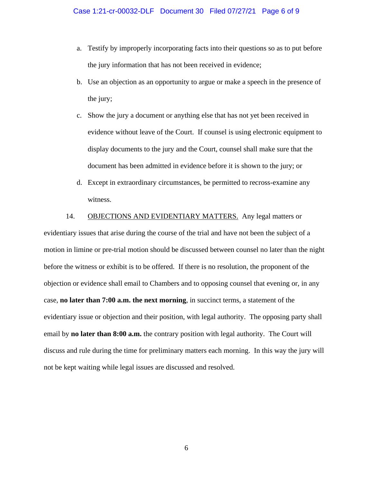- a. Testify by improperly incorporating facts into their questions so as to put before the jury information that has not been received in evidence;
- b. Use an objection as an opportunity to argue or make a speech in the presence of the jury;
- c. Show the jury a document or anything else that has not yet been received in evidence without leave of the Court. If counsel is using electronic equipment to display documents to the jury and the Court, counsel shall make sure that the document has been admitted in evidence before it is shown to the jury; or
- d. Except in extraordinary circumstances, be permitted to recross-examine any witness.

14. OBJECTIONS AND EVIDENTIARY MATTERS. Any legal matters or evidentiary issues that arise during the course of the trial and have not been the subject of a motion in limine or pre-trial motion should be discussed between counsel no later than the night before the witness or exhibit is to be offered. If there is no resolution, the proponent of the objection or evidence shall email to Chambers and to opposing counsel that evening or, in any case, **no later than 7:00 a.m. the next morning**, in succinct terms, a statement of the evidentiary issue or objection and their position, with legal authority. The opposing party shall email by **no later than 8:00 a.m.** the contrary position with legal authority. The Court will discuss and rule during the time for preliminary matters each morning. In this way the jury will not be kept waiting while legal issues are discussed and resolved.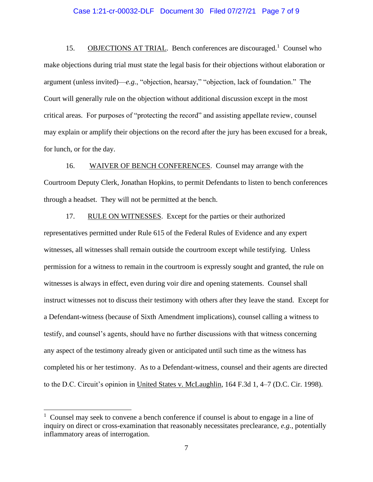# Case 1:21-cr-00032-DLF Document 30 Filed 07/27/21 Page 7 of 9

15. OBJECTIONS AT TRIAL. Bench conferences are discouraged.<sup>1</sup> Counsel who make objections during trial must state the legal basis for their objections without elaboration or argument (unless invited)—*e.g.*, "objection, hearsay," "objection, lack of foundation." The Court will generally rule on the objection without additional discussion except in the most critical areas. For purposes of "protecting the record" and assisting appellate review, counsel may explain or amplify their objections on the record after the jury has been excused for a break, for lunch, or for the day.

16. WAIVER OF BENCH CONFERENCES. Counsel may arrange with the Courtroom Deputy Clerk, Jonathan Hopkins, to permit Defendants to listen to bench conferences through a headset. They will not be permitted at the bench.

17. RULE ON WITNESSES. Except for the parties or their authorized representatives permitted under Rule 615 of the Federal Rules of Evidence and any expert witnesses, all witnesses shall remain outside the courtroom except while testifying. Unless permission for a witness to remain in the courtroom is expressly sought and granted, the rule on witnesses is always in effect, even during voir dire and opening statements. Counsel shall instruct witnesses not to discuss their testimony with others after they leave the stand. Except for a Defendant-witness (because of Sixth Amendment implications), counsel calling a witness to testify, and counsel's agents, should have no further discussions with that witness concerning any aspect of the testimony already given or anticipated until such time as the witness has completed his or her testimony. As to a Defendant-witness, counsel and their agents are directed to the D.C. Circuit's opinion in United States v. McLaughlin, 164 F.3d 1, 4–7 (D.C. Cir. 1998).

<sup>&</sup>lt;sup>1</sup> Counsel may seek to convene a bench conference if counsel is about to engage in a line of inquiry on direct or cross-examination that reasonably necessitates preclearance, *e.g.*, potentially inflammatory areas of interrogation.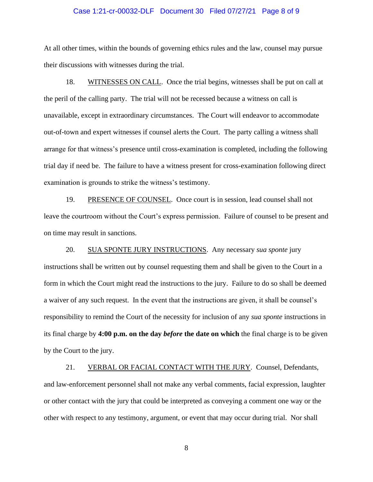## Case 1:21-cr-00032-DLF Document 30 Filed 07/27/21 Page 8 of 9

At all other times, within the bounds of governing ethics rules and the law, counsel may pursue their discussions with witnesses during the trial.

18. WITNESSES ON CALL. Once the trial begins, witnesses shall be put on call at the peril of the calling party. The trial will not be recessed because a witness on call is unavailable, except in extraordinary circumstances. The Court will endeavor to accommodate out-of-town and expert witnesses if counsel alerts the Court. The party calling a witness shall arrange for that witness's presence until cross-examination is completed, including the following trial day if need be. The failure to have a witness present for cross-examination following direct examination is grounds to strike the witness's testimony.

19. PRESENCE OF COUNSEL. Once court is in session, lead counsel shall not leave the courtroom without the Court's express permission. Failure of counsel to be present and on time may result in sanctions.

20. SUA SPONTE JURY INSTRUCTIONS. Any necessary *sua sponte* jury instructions shall be written out by counsel requesting them and shall be given to the Court in a form in which the Court might read the instructions to the jury. Failure to do so shall be deemed a waiver of any such request. In the event that the instructions are given, it shall be counsel's responsibility to remind the Court of the necessity for inclusion of any *sua sponte* instructions in its final charge by **4:00 p.m. on the day** *before* **the date on which** the final charge is to be given by the Court to the jury.

21. VERBAL OR FACIAL CONTACT WITH THE JURY. Counsel, Defendants, and law-enforcement personnel shall not make any verbal comments, facial expression, laughter or other contact with the jury that could be interpreted as conveying a comment one way or the other with respect to any testimony, argument, or event that may occur during trial. Nor shall